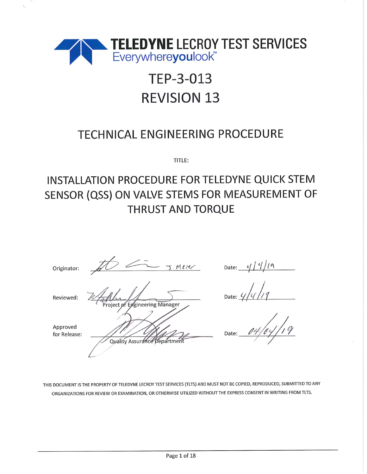

# TEP-3-013 **REVISION 13**

## **TECHNICAL ENGINEERING PROCEDURE**

TITLE:

## INSTALLATION PROCEDURE FOR TELEDYNE QUICK STEM SENSOR (QSS) ON VALVE STEMS FOR MEASUREMENT OF **THRUST AND TORQUE**

| Originator:              | J. Mexe                        |
|--------------------------|--------------------------------|
| Reviewed:                | Project of Engineering Manager |
| Approved<br>for Release: | Quality Assurance Department   |
|                          |                                |

Date:  $\frac{4}{4}$   $\frac{1}{4}$ 

Date:  $\frac{1}{4}$ 

Date:

THIS DOCUMENT IS THE PROPERTY OF TELEDYNE LECROY TEST SERVICES (TLTS) AND MUST NOT BE COPIED, REPRODUCED, SUBMITTED TO ANY ORGANIZATIONS FOR REVIEW OR EXAMINATION, OR OTHERWISE UTILIZED WITHOUT THE EXPRESS CONSENT IN WRITING FROM TLTS.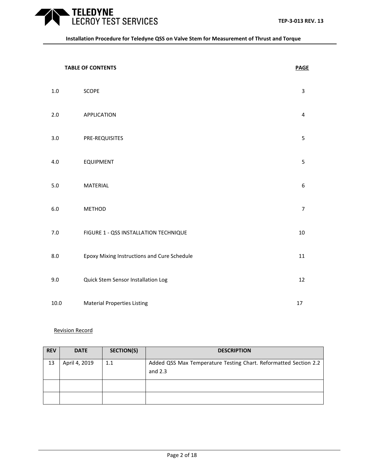**TABLE OF CONTENTS PAGE** 

**TELEDYNE**<br>LECROY TEST SERVICES

| $1.0\,$ | SCOPE                                       | 3              |
|---------|---------------------------------------------|----------------|
| 2.0     | APPLICATION                                 | 4              |
| $3.0\,$ | PRE-REQUISITES                              | 5              |
| 4.0     | <b>EQUIPMENT</b>                            | 5              |
| $5.0$   | MATERIAL                                    | 6              |
| 6.0     | <b>METHOD</b>                               | $\overline{7}$ |
| $7.0\,$ | FIGURE 1 - QSS INSTALLATION TECHNIQUE       | 10             |
| 8.0     | Epoxy Mixing Instructions and Cure Schedule | 11             |
| 9.0     | Quick Stem Sensor Installation Log          | 12             |
| 10.0    | <b>Material Properties Listing</b>          | 17             |

### Revision Record

| <b>REV</b> | <b>DATE</b>   | SECTION(S) | <b>DESCRIPTION</b>                                                            |
|------------|---------------|------------|-------------------------------------------------------------------------------|
| 13         | April 4, 2019 | 1.1        | Added QSS Max Temperature Testing Chart. Reformatted Section 2.2<br>and $2.3$ |
|            |               |            |                                                                               |
|            |               |            |                                                                               |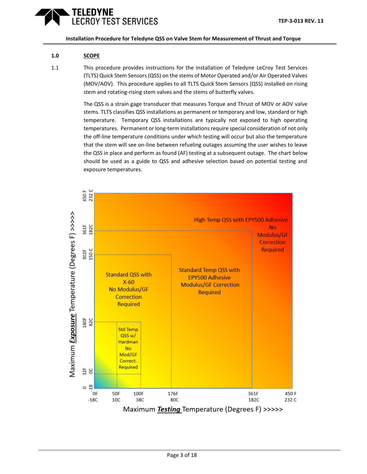### TELEDYNE **ECROY TEST SERVICES**

**Installation Procedure for Teledyne QSS on Valve Stem for Measurement of Thrust and Torque**

### **1.0 SCOPE**

1.1 This procedure provides instructions for the installation of Teledyne LeCroy Test Services (TLTS) Quick Stem Sensors (QSS) on the stems of Motor Operated and/or Air Operated Valves (MOV/AOV). This procedure applies to all TLTS Quick Stem Sensors (QSS) installed on rising stem and rotating-rising stem valves and the stems of butterfly valves.

> The QSS is a strain gage transducer that measures Torque and Thrust of MOV or AOV valve stems. TLTS classifies QSS installations as permanent or temporary and low, standard or high temperature. Temporary QSS installations are typically not exposed to high operating temperatures. Permanent or long-term installations require special consideration of not only the off-line temperature conditions under which testing will occur but also the temperature that the stem will see on-line between refueling outages assuming the user wishes to leave the QSS in place and perform as found (AF) testing at a subsequent outage. The chart below should be used as a guide to QSS and adhesive selection based on potential testing and exposure temperatures.

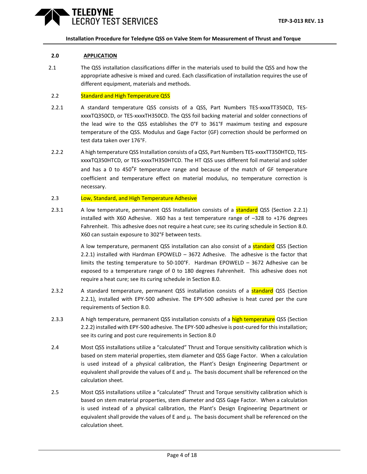### **2.0 APPLICATION**

2.1 The QSS installation classifications differ in the materials used to build the QSS and how the appropriate adhesive is mixed and cured. Each classification of installation requires the use of different equipment, materials and methods.

### 2.2 Standard and High Temperature QSS

- <span id="page-3-0"></span>2.2.1 A standard temperature QSS consists of a QSS, Part Numbers TES-xxxxTT350CD, TESxxxxTQ350CD, or TES-xxxxTH350CD. The QSS foil backing material and solder connections of the lead wire to the QSS establishes the 0°F to 361°F maximum testing and exposure temperature of the QSS. Modulus and Gage Factor (GF) correction should be performed on test data taken over 176°F.
- <span id="page-3-1"></span>2.2.2 A high temperature QSS Installation consists of a QSS, Part Numbers TES-xxxxTT350HTCD, TESxxxxTQ350HTCD, or TES-xxxxTH350HTCD. The HT QSS uses different foil material and solder and has a 0 to 450°F temperature range and because of the match of GF temperature coefficient and temperature effect on material modulus, no temperature correction is necessary.

### 2.3 Low, Standard, and High Temperature Adhesive

2.3.1 A low temperature, permanent QSS Installation consists of a **standard** QSS (Section [2.2.1\)](#page-3-0) installed with X60 Adhesive.  $X60$  has a test temperature range of  $-328$  to  $+176$  degrees Fahrenheit. This adhesive does not require a heat cure; see its curing schedule in Section 8.0. X60 can sustain exposure to 302°F between tests.

> A low temperature, permanent QSS installation can also consist of a **standard** QSS (Section [2.2.1\)](#page-3-0) installed with Hardman EPOWELD – 3672 Adhesive. The adhesive is the factor that limits the testing temperature to 50-100°F. Hardman EPOWELD – 3672 Adhesive can be exposed to a temperature range of 0 to 180 degrees Fahrenheit. This adhesive does not require a heat cure; see its curing schedule in Section 8.0.

- 2.3.2 A standard temperature, permanent QSS installation consists of a **standard** QSS (Section [2.2.1\)](#page-3-0), installed with EPY-500 adhesive. The EPY-500 adhesive is heat cured per the cure requirements of Section 8.0.
- 2.3.3 A high temperature, permanent QSS installation consists of a **high temperature** QSS (Section [2.2.2\)](#page-3-1) installed with EPY-500 adhesive. The EPY-500 adhesive is post-cured for this installation; see its curing and post cure requirements in Section 8.0
- 2.4 Most QSS installations utilize a "calculated" Thrust and Torque sensitivity calibration which is based on stem material properties, stem diameter and QSS Gage Factor. When a calculation is used instead of a physical calibration, the Plant's Design Engineering Department or equivalent shall provide the values of E and  $\mu$ . The basis document shall be referenced on the calculation sheet.
- 2.5 Most QSS installations utilize a "calculated" Thrust and Torque sensitivity calibration which is based on stem material properties, stem diameter and QSS Gage Factor. When a calculation is used instead of a physical calibration, the Plant's Design Engineering Department or equivalent shall provide the values of E and  $\mu$ . The basis document shall be referenced on the calculation sheet.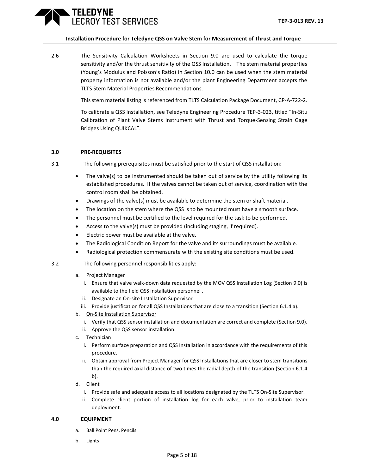### TELEDYNE ROY TEST SERVICES

### **Installation Procedure for Teledyne QSS on Valve Stem for Measurement of Thrust and Torque**

2.6 The Sensitivity Calculation Worksheets in Section 9.0 are used to calculate the torque sensitivity and/or the thrust sensitivity of the QSS Installation. The stem material properties (Young's Modulus and Poisson's Ratio) in Section 10.0 can be used when the stem material property information is not available and/or the plant Engineering Department accepts the TLTS Stem Material Properties Recommendations.

This stem material listing is referenced from TLTS Calculation Package Document, CP-A-722-2.

To calibrate a QSS Installation, see Teledyne Engineering Procedure TEP-3-023, titled "In-Situ Calibration of Plant Valve Stems Instrument with Thrust and Torque-Sensing Strain Gage Bridges Using QUIKCAL".

### **3.0 PRE-REQUISITES**

- 3.1 The following prerequisites must be satisfied prior to the start of QSS installation:
	- The valve(s) to be instrumented should be taken out of service by the utility following its established procedures. If the valves cannot be taken out of service, coordination with the control room shall be obtained.
	- Drawings of the valve(s) must be available to determine the stem or shaft material.
	- The location on the stem where the QSS is to be mounted must have a smooth surface.
	- The personnel must be certified to the level required for the task to be performed.
	- Access to the valve(s) must be provided (including staging, if required).
	- Electric power must be available at the valve.
	- The Radiological Condition Report for the valve and its surroundings must be available.
	- Radiological protection commensurate with the existing site conditions must be used.
- 3.2 The following personnel responsibilities apply:
	- a. Project Manager
		- i. Ensure that valve walk-down data requested by the MOV QSS Installation Log (Section 9.0) is available to the field QSS installation personnel .
		- ii. Designate an On-site Installation Supervisor
	- iii. Provide justification for all QSS Installations that are close to a transition (Section 6.1.4 a).
	- b. On-Site Installation Supervisor
		- i. Verify that QSS sensor installation and documentation are correct and complete (Section 9.0).
		- ii. Approve the QSS sensor installation.
	- c. Technician
		- i. Perform surface preparation and QSS Installation in accordance with the requirements of this procedure.
		- ii. Obtain approval from Project Manager for QSS Installations that are closer to stem transitions than the required axial distance of two times the radial depth of the transition (Section 6.1.4 b).
	- d. Client
		- i. Provide safe and adequate access to all locations designated by the TLTS On-Site Supervisor.
		- ii. Complete client portion of installation log for each valve, prior to installation team deployment.

### **4.0 EQUIPMENT**

- a. Ball Point Pens, Pencils
- b. Lights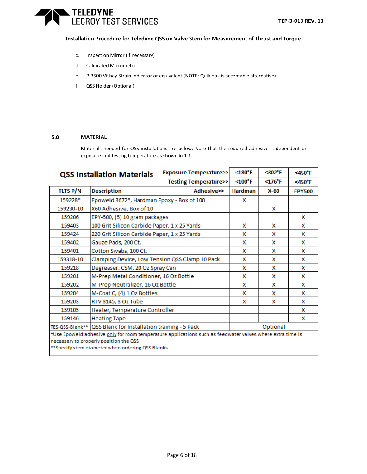### **TELEDYNE** LECROY TEST SERVICES

### **Installation Procedure for Teledyne QSS on Valve Stem for Measurement of Thrust and Torque**

- c. Inspection Mirror (if necessary)
- d. Calibrated Micrometer
- e. P-3500 Vishay Strain Indicator or equivalent (NOTE: Quiklook is acceptable alternative)
- f. QSS Holder (Optional)

### **5.0 MATERIAL**

Materials needed for QSS installations are below. Note that the required adhesive is dependent on exposure and testing temperature as shown in 1.1.

|                 | <b>QSS Installation Materials</b>                                                          | <b>Exposure Temperature&gt;&gt;</b>                                                                       | $<$ 180 $^{\circ}$ F | <302°F      | $<$ 450 $\degree$ F |
|-----------------|--------------------------------------------------------------------------------------------|-----------------------------------------------------------------------------------------------------------|----------------------|-------------|---------------------|
|                 |                                                                                            | Testing Temperature>>                                                                                     | $< 100°$ F           | $<$ 176°F   | $<$ 450 $\degree$ F |
| <b>TLTS P/N</b> | <b>Description</b>                                                                         | <b>Adhesive&gt;&gt;</b>                                                                                   | <b>Hardman</b>       | <b>X-60</b> | <b>EPY500</b>       |
| 159228*         | Epoweld 3672*, Hardman Epoxy - Box of 100                                                  |                                                                                                           | x                    |             |                     |
| 159230-10       | X60 Adhesive, Box of 10                                                                    |                                                                                                           |                      | x           |                     |
| 159206          | EPY-500, (5) 10 gram packages                                                              |                                                                                                           |                      |             | x                   |
| 159403          | 100 Grit Silicon Carbide Paper, 1 x 25 Yards                                               |                                                                                                           | x                    | x           | x                   |
| 159424          | 220 Grit Silicon Carbide Paper, 1 x 25 Yards                                               |                                                                                                           | x                    | x           | x                   |
| 159402          | Gauze Pads, 200 Ct.                                                                        |                                                                                                           | x                    | x           | x                   |
| 159401          | Cotton Swabs, 100 Ct.                                                                      |                                                                                                           | x                    | x           | x                   |
| 159318-10       | Clamping Device, Low Tension QSS Clamp 10 Pack                                             |                                                                                                           | x                    | x           | x                   |
| 159218          | Degreaser, CSM, 20 Oz Spray Can                                                            |                                                                                                           | x                    | x           | x                   |
| 159201          | M-Prep Metal Conditioner, 16 Oz Bottle                                                     |                                                                                                           | x                    | x           | x                   |
| 159202          | M-Prep Neutralizer, 16 Oz Bottle                                                           |                                                                                                           | x                    | x           | x                   |
| 159204          | M-Coat C, (4) 1 Oz Bottles                                                                 |                                                                                                           | x                    | x           | x                   |
| 159203          | RTV 3145, 3 Oz Tube                                                                        |                                                                                                           | x                    | x           | x                   |
| 159105          | Heater, Temperature Controller                                                             |                                                                                                           |                      |             | x                   |
| 159146          | <b>Heating Tape</b>                                                                        |                                                                                                           |                      |             | x                   |
|                 | TES-QSS-Blank**   QSS Blank for Installation training - 5 Pack                             |                                                                                                           |                      | Optional    |                     |
|                 | necessary to properly position the QSS<br>**Specify stem diameter when ordering QSS Blanks | *Use Epoweld adhesive only for room temperature applications such as feedwater valves where extra time is |                      |             |                     |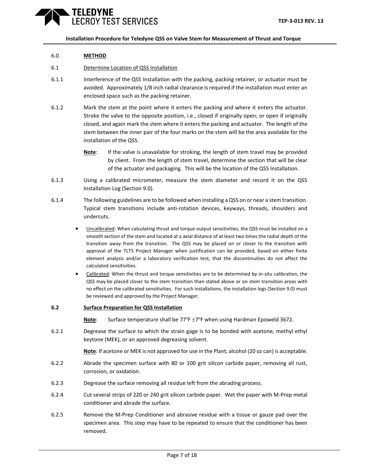### 6.0 **METHOD**

### 6.1 Determine Location of QSS Installation

- 6.1.1 Interference of the QSS Installation with the packing, packing retainer, or actuator must be avoided. Approximately 1/8 inch radial clearance is required if the installation must enter an enclosed space such as the packing retainer.
- 6.1.2 Mark the stem at the point where it enters the packing and where it enters the actuator. Stroke the valve to the opposite position, i.e., closed if originally open; or open if originally closed, and again mark the stem where it enters the packing and actuator. The length of the stem between the inner pair of the four marks on the stem will be the area available for the installation of the QSS.
	- **Note**: If the valve is unavailable for stroking, the length of stem travel may be provided by client. From the length of stem travel, determine the section that will be clear of the actuator and packaging. This will be the location of the QSS Installation.
- 6.1.3 Using a calibrated micrometer, measure the stem diameter and record it on the QSS Installation Log (Section 9.0).
- 6.1.4 The following guidelines are to be followed when installing a QSS on or near a stem transition. Typical stem transitions include anti-rotation devices, keyways, threads, shoulders and undercuts.
	- Uncalibrated: When calculating thrust and torque output sensitivities, the QSS must be installed on a smooth section of the stem and located at a axial distance of at least two times the radial depth of the transition away from the transition. The QSS may be placed on or closer to the transition with approval of the TLTS Project Manager when justification can be provided, based on either finite element analysis and/or a laboratory verification test, that the discontinuities do not affect the calculated sensitivities.
	- Calibrated: When the thrust and torque sensitivities are to be determined by in-situ calibration, the QSS may be placed closer to the stem transition than stated above or on stem transition areas with no effect on the calibrated sensitivities. For such installations, the installation logs (Section 9.0) must be reviewed and approved by the Project Manager.
- **6.2 Surface Preparation for QSS Installation**

Note: Surface temperature shall be 77°F ±7°F when using Hardman Epoweld 3672.

6.2.1 Degrease the surface to which the strain gage is to be bonded with acetone, methyl ethyl keytone (MEK), or an approved degreasing solvent.

**Note**: If acetone or MEK is not approved for use in the Plant, alcohol (20 oz can) is acceptable.

- 6.2.2 Abrade the specimen surface with 80 or 100 grit silicon carbide paper, removing all rust, corrosion, or oxidation.
- 6.2.3 Degrease the surface removing all residue left from the abrading process.
- 6.2.4 Cut several strips of 220 or 240 grit silicon carbide paper. Wet the paper with M-Prep metal conditioner and abrade the surface.
- 6.2.5 Remove the M-Prep Conditioner and abrasive residue with a tissue or gauze pad over the specimen area. This step may have to be repeated to ensure that the conditioner has been removed.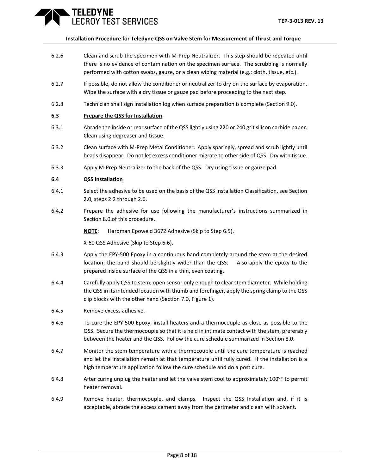### **TELEDYNE** ROY TEST SERVICES

### **Installation Procedure for Teledyne QSS on Valve Stem for Measurement of Thrust and Torque**

- 6.2.6 Clean and scrub the specimen with M-Prep Neutralizer. This step should be repeated until there is no evidence of contamination on the specimen surface. The scrubbing is normally performed with cotton swabs, gauze, or a clean wiping material (e.g.: cloth, tissue, etc.).
- 6.2.7 If possible, do not allow the conditioner or neutralizer to dry on the surface by evaporation. Wipe the surface with a dry tissue or gauze pad before proceeding to the next step.
- 6.2.8 Technician shall sign installation log when surface preparation is complete (Section 9.0).

### **6.3 Prepare the QSS for Installation**

- 6.3.1 Abrade the inside or rear surface of the QSS lightly using 220 or 240 grit silicon carbide paper. Clean using degreaser and tissue.
- 6.3.2 Clean surface with M-Prep Metal Conditioner. Apply sparingly, spread and scrub lightly until beads disappear. Do not let excess conditioner migrate to other side of QSS. Dry with tissue.
- 6.3.3 Apply M-Prep Neutralizer to the back of the QSS. Dry using tissue or gauze pad.

### **6.4 QSS Installation**

- 6.4.1 Select the adhesive to be used on the basis of the QSS Installation Classification, see Section 2.0, steps 2.2 through 2.6.
- 6.4.2 Prepare the adhesive for use following the manufacturer's instructions summarized in Section 8.0 of this procedure.
	- **NOTE**: Hardman Epoweld 3672 Adhesive (Skip to Step 6.5).

X-60 QSS Adhesive (Skip to Step 6.6).

- 6.4.3 Apply the EPY-500 Epoxy in a continuous band completely around the stem at the desired location; the band should be slightly wider than the QSS. Also apply the epoxy to the prepared inside surface of the QSS in a thin, even coating.
- 6.4.4 Carefully apply QSS to stem; open sensor only enough to clear stem diameter. While holding the QSS in its intended location with thumb and forefinger, apply the spring clamp to the QSS clip blocks with the other hand (Section 7.0, Figure 1).
- 6.4.5 Remove excess adhesive.
- 6.4.6 To cure the EPY-500 Epoxy, install heaters and a thermocouple as close as possible to the QSS. Secure the thermocouple so that it is held in intimate contact with the stem, preferably between the heater and the QSS. Follow the cure schedule summarized in Section 8.0.
- 6.4.7 Monitor the stem temperature with a thermocouple until the cure temperature is reached and let the installation remain at that temperature until fully cured. If the installation is a high temperature application follow the cure schedule and do a post cure.
- 6.4.8 After curing unplug the heater and let the valve stem cool to approximately 100°F to permit heater removal.
- 6.4.9 Remove heater, thermocouple, and clamps. Inspect the QSS Installation and, if it is acceptable, abrade the excess cement away from the perimeter and clean with solvent.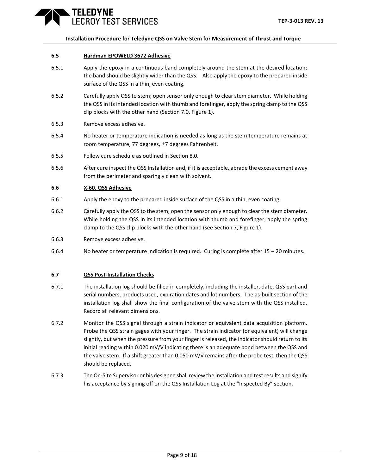### **ELEDYNE** ROY TEST SERVICES

### **Installation Procedure for Teledyne QSS on Valve Stem for Measurement of Thrust and Torque**

### **6.5 Hardman EPOWELD 3672 Adhesive**

- 6.5.1 Apply the epoxy in a continuous band completely around the stem at the desired location; the band should be slightly wider than the QSS. Also apply the epoxy to the prepared inside surface of the QSS in a thin, even coating.
- 6.5.2 Carefully apply QSS to stem; open sensor only enough to clear stem diameter. While holding the QSS in its intended location with thumb and forefinger, apply the spring clamp to the QSS clip blocks with the other hand (Section 7.0, Figure 1).
- 6.5.3 Remove excess adhesive.
- 6.5.4 No heater or temperature indication is needed as long as the stem temperature remains at room temperature, 77 degrees,  $\pm$ 7 degrees Fahrenheit.
- 6.5.5 Follow cure schedule as outlined in Section 8.0.
- 6.5.6 After cure inspect the QSS Installation and, if it is acceptable, abrade the excess cement away from the perimeter and sparingly clean with solvent.

### **6.6 X-60, QSS Adhesive**

- 6.6.1 Apply the epoxy to the prepared inside surface of the QSS in a thin, even coating.
- 6.6.2 Carefully apply the QSS to the stem; open the sensor only enough to clear the stem diameter. While holding the QSS in its intended location with thumb and forefinger, apply the spring clamp to the QSS clip blocks with the other hand (see Section 7, Figure 1).
- 6.6.3 Remove excess adhesive.
- 6.6.4 No heater or temperature indication is required. Curing is complete after 15 20 minutes.

### **6.7 QSS Post-Installation Checks**

- 6.7.1 The installation log should be filled in completely, including the installer, date, QSS part and serial numbers, products used, expiration dates and lot numbers. The as-built section of the installation log shall show the final configuration of the valve stem with the QSS installed. Record all relevant dimensions.
- 6.7.2 Monitor the QSS signal through a strain indicator or equivalent data acquisition platform. Probe the QSS strain gages with your finger. The strain indicator (or equivalent) will change slightly, but when the pressure from your finger is released, the indicator should return to its initial reading within 0.020 mV/V indicating there is an adequate bond between the QSS and the valve stem. If a shift greater than 0.050 mV/V remains after the probe test, then the QSS should be replaced.
- 6.7.3 The On-Site Supervisor or his designee shall review the installation and test results and signify his acceptance by signing off on the QSS Installation Log at the "Inspected By" section.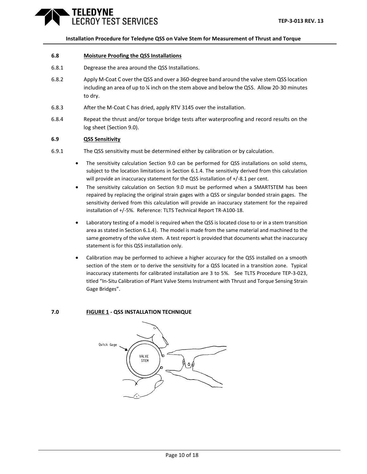### **ELEDYNE** ROY TEST SERVICES

#### **Installation Procedure for Teledyne QSS on Valve Stem for Measurement of Thrust and Torque**

### **6.8 Moisture Proofing the QSS Installations**

- 6.8.1 Degrease the area around the QSS Installations.
- 6.8.2 Apply M-Coat C over the QSS and over a 360-degree band around the valve stem QSS location including an area of up to ¼ inch on the stem above and below the QSS. Allow 20-30 minutes to dry.
- 6.8.3 After the M-Coat C has dried, apply RTV 3145 over the installation.
- 6.8.4 Repeat the thrust and/or torque bridge tests after waterproofing and record results on the log sheet (Section 9.0).

### **6.9 QSS Sensitivity**

- 6.9.1 The QSS sensitivity must be determined either by calibration or by calculation.
	- The sensitivity calculation Section 9.0 can be performed for QSS installations on solid stems, subject to the location limitations in Section 6.1.4. The sensitivity derived from this calculation will provide an inaccuracy statement for the QSS installation of +/-8.1 per cent.
	- The sensitivity calculation on Section 9.0 must be performed when a SMARTSTEM has been repaired by replacing the original strain gages with a QSS or singular bonded strain gages. The sensitivity derived from this calculation will provide an inaccuracy statement for the repaired installation of +/-5%. Reference: TLTS Technical Report TR-A100-18.
	- Laboratory testing of a model is required when the QSS is located close to or in a stem transition area as stated in Section 6.1.4). The model is made from the same material and machined to the same geometry of the valve stem. A test report is provided that documents what the inaccuracy statement is for this QSS installation only.
	- Calibration may be performed to achieve a higher accuracy for the QSS installed on a smooth section of the stem or to derive the sensitivity for a QSS located in a transition zone. Typical inaccuracy statements for calibrated installation are 3 to 5%. See TLTS Procedure TEP-3-023, titled "In-Situ Calibration of Plant Valve Stems Instrument with Thrust and Torque Sensing Strain Gage Bridges".

#### **7.0 FIGURE 1 - QSS INSTALLATION TECHNIQUE**

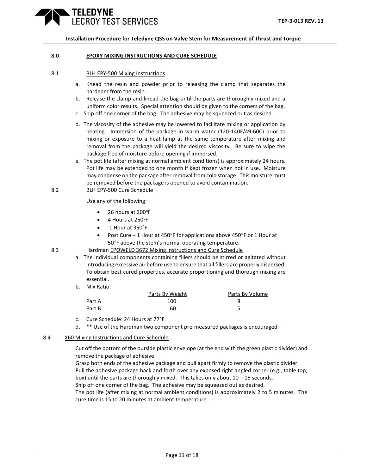### TELEDYNE ROY TEST SERVICES

**Installation Procedure for Teledyne QSS on Valve Stem for Measurement of Thrust and Torque**

### **8.0 EPOXY MIXING INSTRUCTIONS AND CURE SCHEDULE**

### 8.1 BLH EPY-500 Mixing Instructions

- a. Knead the resin and powder prior to releasing the clamp that separates the hardener from the resin.
- b. Release the clamp and knead the bag until the parts are thoroughly mixed and a uniform color results. Special attention should be given to the corners of the bag.
- c. Snip off one corner of the bag. The adhesive may be squeezed out as desired.
- d. The viscosity of the adhesive may be lowered to facilitate mixing or application by heating. Immersion of the package in warm water (120-140F/49-60C) prior to mixing or exposure to a heat lamp at the same temperature after mixing and removal from the package will yield the desired viscosity. Be sure to wipe the package free of moisture before opening if immersed.
- e. The pot life (after mixing at normal ambient conditions) is approximately 24 hours. Pot life may be extended to one month if kept frozen when not in use. Moisture may condense on the package after removal from cold storage. This moisture must be removed before the package is opened to avoid contamination.
- 8.2 BLH EPY-500 Cure Schedule

Use any of the following:

- $\bullet$  26 hours at 200°F
- $\bullet$  4 Hours at 250 $^{\circ}$ F
- $\bullet$  1 Hour at 350 $^{\circ}$ F
- Post Cure 1 Hour at 450°F for applications above 450°F or 1 Hour at 50°F above the stem's normal operating temperature.
- 8.3 Hardman EPOWELD 3672 Mixing Instructions and Cure Schedule
	- a. The individual components containing fillers should be stirred or agitated without introducing excessive air before use to ensure that all fillers are properly dispersed. To obtain best cured properties, accurate proportioning and thorough mixing are essential.
	- b. Mix Ratio:

|        | Parts By Weight | Parts By Volume |
|--------|-----------------|-----------------|
| Part A | 100             |                 |
| Part B | 60              |                 |

- c. Cure Schedule: 24 Hours at 77°F.
- d. \*\* Use of the Hardman two component pre-measured packages is encouraged.

#### 8.4 X60 Mixing Instructions and Cure Schedule

Cut off the bottom of the outside plastic envelope (at the end with the green plastic divider) and remove the package of adhesive

Grasp both ends of the adhesive package and pull apart firmly to remove the plastic divider. Pull the adhesive package back and forth over any exposed right angled corner (e.g., table top,

box) until the parts are thoroughly mixed. This takes only about  $10 - 15$  seconds.

Snip off one corner of the bag. The adhesive may be squeezed out as desired.

The pot life (after mixing at normal ambient conditions) is approximately 2 to 5 minutes. The cure time is 15 to 20 minutes at ambient temperature.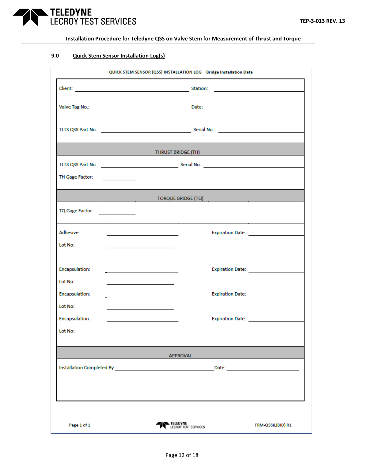

### **9.0 Quick Stem Sensor Installation Log(s)**

| QUICK STEM SENSOR (QSS) INSTALLATION LOG - Bridge Installation Data |                                                                                                                                                                                                                                      |                      |                       |  |  |
|---------------------------------------------------------------------|--------------------------------------------------------------------------------------------------------------------------------------------------------------------------------------------------------------------------------------|----------------------|-----------------------|--|--|
|                                                                     |                                                                                                                                                                                                                                      |                      |                       |  |  |
|                                                                     |                                                                                                                                                                                                                                      |                      |                       |  |  |
|                                                                     |                                                                                                                                                                                                                                      |                      |                       |  |  |
|                                                                     | <b>THRUST BRIDGE (TH)</b> And the contract of the contract of the contract of the contract of the contract of the contract of the contract of the contract of the contract of the contract of the contract of the contract of the c  |                      |                       |  |  |
|                                                                     |                                                                                                                                                                                                                                      |                      |                       |  |  |
| TH Gage Factor: _______________                                     |                                                                                                                                                                                                                                      |                      |                       |  |  |
|                                                                     | <b>Experimental Contract Contract Contract Contract Contract Contract Contract Contract Contract Contract Contract Contract Contract Contract Contract Contract Contract Contract Contract Contract Contract Contract Contract C</b> |                      |                       |  |  |
| TQ Gage Factor: ________________                                    |                                                                                                                                                                                                                                      |                      |                       |  |  |
| Adhesive:                                                           | <u> 1989 - Johann John Stone, meil er fan de ferstjer oan de ferstjer fan de ferstjer oan de ferstjer fan de fers</u>                                                                                                                |                      | Expiration Date: 2008 |  |  |
| Lot No:                                                             | <u> 1989 - Johann Barbara, martxa al III-lea (h. 1974).</u>                                                                                                                                                                          |                      |                       |  |  |
| Encapsulation:                                                      |                                                                                                                                                                                                                                      |                      |                       |  |  |
| Lot No:<br>Encapsulation:                                           | the control of the control of the control of the control of the control of<br><u> 1989 - Johann Harry Barn, mars ar breist fan de Fryske kommunent (</u>                                                                             |                      | Expiration Date: 2008 |  |  |
| Lot No:                                                             |                                                                                                                                                                                                                                      |                      |                       |  |  |
| Encapsulation:                                                      |                                                                                                                                                                                                                                      |                      | Expiration Date: 2008 |  |  |
| Lot No:                                                             |                                                                                                                                                                                                                                      |                      |                       |  |  |
|                                                                     | <b>APPROVAL</b>                                                                                                                                                                                                                      |                      |                       |  |  |
| Installation Completed By:                                          |                                                                                                                                                                                                                                      | Date:                |                       |  |  |
|                                                                     |                                                                                                                                                                                                                                      |                      |                       |  |  |
|                                                                     |                                                                                                                                                                                                                                      |                      |                       |  |  |
| Page 1 of 1                                                         | TELEDYNE                                                                                                                                                                                                                             | LECROY TEST SERVICES | FRM-QSSIL(BID) R1     |  |  |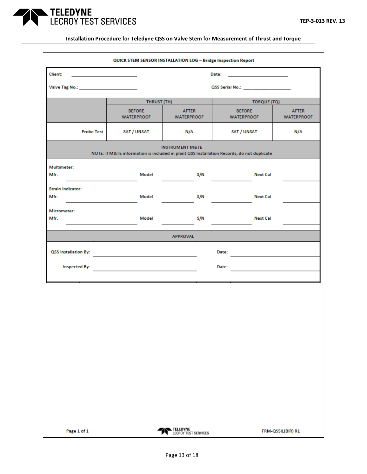

| QUICK STEM SENSOR INSTALLATION LOG - Bridge Inspection Report |                                              |                                   |                                                                                           |                                   |  |  |
|---------------------------------------------------------------|----------------------------------------------|-----------------------------------|-------------------------------------------------------------------------------------------|-----------------------------------|--|--|
| Client:                                                       | the control of the control of the control of |                                   | Date:<br>the control of the control of the control of                                     |                                   |  |  |
| Valve Tag No.: _________________________                      |                                              |                                   | QSS Serial No.: ________________                                                          |                                   |  |  |
|                                                               | THRUST (TH)<br><b>TORQUE (TQ)</b>            |                                   |                                                                                           |                                   |  |  |
|                                                               | <b>BEFORE</b><br><b>WATERPROOF</b>           | <b>AFTER</b><br><b>WATERPROOF</b> | <b>BEFORE</b><br><b>WATERPROOF</b>                                                        | <b>AFTER</b><br><b>WATERPROOF</b> |  |  |
| <b>Probe Test</b>                                             | SAT / UNSAT                                  | N/A                               | SAT / UNSAT                                                                               | N/A                               |  |  |
|                                                               |                                              | <b>INSTRUMENT M&amp;TE</b>        | NOTE: If M&TE information is included in plant QSS Installation Records, do not duplicate |                                   |  |  |
| <b>Multimeter:</b><br>Mfr.                                    | Model                                        | S/N                               | <b>Next Cal</b>                                                                           |                                   |  |  |
| <b>Strain Indicator:</b><br>Mfr.                              | Model                                        | S/N                               | <b>Next Cal</b>                                                                           |                                   |  |  |
| <b>Micrometer:</b><br>Mfr.                                    | Model                                        | S/N                               | <b>Next Cal</b>                                                                           |                                   |  |  |
|                                                               |                                              | <b>APPROVAL</b>                   |                                                                                           |                                   |  |  |
| QSS Installation By:                                          |                                              |                                   | Date:                                                                                     |                                   |  |  |
| <b>Inspected By:</b>                                          |                                              |                                   | Date:                                                                                     |                                   |  |  |
|                                                               |                                              |                                   |                                                                                           |                                   |  |  |
|                                                               |                                              |                                   |                                                                                           |                                   |  |  |
|                                                               |                                              |                                   |                                                                                           |                                   |  |  |
|                                                               |                                              |                                   |                                                                                           |                                   |  |  |
|                                                               |                                              |                                   |                                                                                           |                                   |  |  |
|                                                               |                                              |                                   |                                                                                           |                                   |  |  |
|                                                               |                                              |                                   |                                                                                           |                                   |  |  |
|                                                               |                                              |                                   |                                                                                           |                                   |  |  |
| Page 1 of 1                                                   |                                              | TELEDYNE<br>LECROY TEST SERVICES  |                                                                                           | FRM-QSSIL(BIR) R1                 |  |  |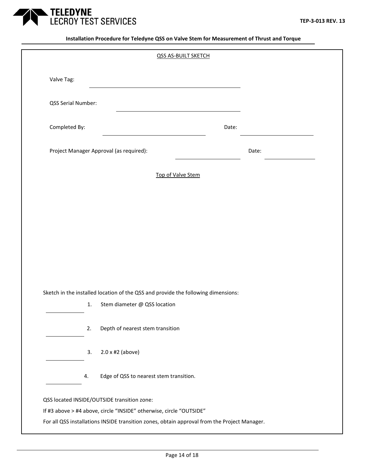

|                    |    | QSS AS-BUILT SKETCH                                                               |       |       |
|--------------------|----|-----------------------------------------------------------------------------------|-------|-------|
| Valve Tag:         |    |                                                                                   |       |       |
| QSS Serial Number: |    |                                                                                   |       |       |
| Completed By:      |    |                                                                                   | Date: |       |
|                    |    | Project Manager Approval (as required):                                           |       | Date: |
|                    |    | Top of Valve Stem                                                                 |       |       |
|                    |    |                                                                                   |       |       |
|                    |    |                                                                                   |       |       |
|                    |    |                                                                                   |       |       |
|                    |    |                                                                                   |       |       |
|                    |    |                                                                                   |       |       |
|                    |    |                                                                                   |       |       |
|                    |    | Sketch in the installed location of the QSS and provide the following dimensions: |       |       |
|                    | 1. | Stem diameter @ QSS location                                                      |       |       |
|                    | 2. | Depth of nearest stem transition                                                  |       |       |
|                    | 3. | $2.0 \times \text{\#2}$ (above)                                                   |       |       |
|                    | 4. | Edge of QSS to nearest stem transition.                                           |       |       |
|                    |    | QSS located INSIDE/OUTSIDE transition zone:                                       |       |       |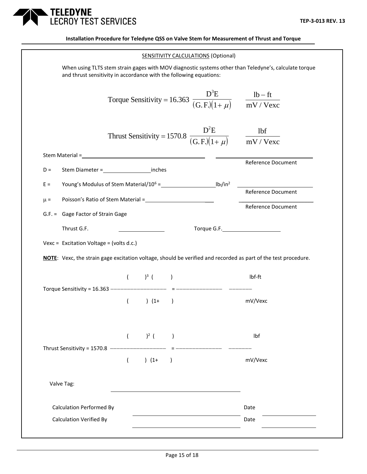

|                                          |                           | <b>SENSITIVITY CALCULATIONS (Optional)</b>                                        |                                                                                                                |
|------------------------------------------|---------------------------|-----------------------------------------------------------------------------------|----------------------------------------------------------------------------------------------------------------|
|                                          |                           | and thrust sensitivity in accordance with the following equations:                | When using TLTS stem strain gages with MOV diagnostic systems other than Teledyne's, calculate torque          |
|                                          |                           | Torque Sensitivity = 16.363 $\frac{D^3E}{(G.E)(1+\mu)}$ $\frac{lb - ft}{mV/Vexc}$ |                                                                                                                |
|                                          |                           | Thrust Sensitivity = 1570.8 $\frac{D^2E}{(G.F)(1+\mu)}$ $\frac{lbf}{mV/Vexc}$     |                                                                                                                |
|                                          |                           |                                                                                   |                                                                                                                |
| $D =$                                    |                           |                                                                                   | Reference Document                                                                                             |
| $E =$                                    |                           |                                                                                   |                                                                                                                |
| $\mu =$                                  |                           |                                                                                   |                                                                                                                |
|                                          |                           |                                                                                   | Reference Document                                                                                             |
|                                          |                           |                                                                                   |                                                                                                                |
| G.F. = Gage Factor of Strain Gage        |                           |                                                                                   |                                                                                                                |
| Thrust G.F.                              |                           |                                                                                   |                                                                                                                |
| Vexc = Excitation Voltage = (volts d.c.) |                           |                                                                                   |                                                                                                                |
|                                          |                           |                                                                                   | NOTE: Vexc, the strain gage excitation voltage, should be verified and recorded as part of the test procedure. |
|                                          | $($ $)^3$ $($ $)$         |                                                                                   | lbf-ft                                                                                                         |
|                                          | $( ) (1+)$                |                                                                                   | mV/Vexc                                                                                                        |
|                                          | ( ) <sup>2</sup> ( )      |                                                                                   | Ibf                                                                                                            |
| Thrust Sensitivity = 1570.8 ----------   | $\overline{(\ }$<br>$(1+$ | $\left( \right)$                                                                  | mV/Vexc                                                                                                        |
| Valve Tag:                               |                           |                                                                                   |                                                                                                                |
| <b>Calculation Performed By</b>          |                           |                                                                                   | Date                                                                                                           |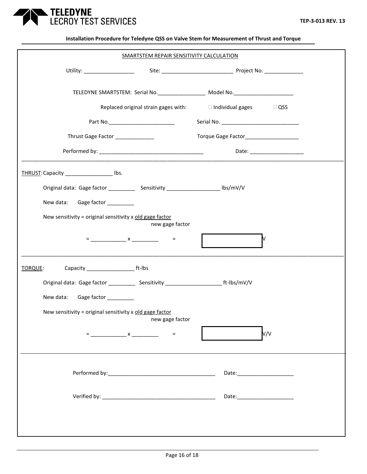

|                                                                                              | SMARTSTEM REPAIR SENSITIVITY CALCULATION |                                                                                  |     |
|----------------------------------------------------------------------------------------------|------------------------------------------|----------------------------------------------------------------------------------|-----|
|                                                                                              |                                          |                                                                                  |     |
|                                                                                              |                                          | TELEDYNE SMARTSTEM: Serial No. ____________________ Model No. __________________ |     |
|                                                                                              |                                          | Replaced original strain gages with: $\Box$ Individual gages $\Box$ QSS          |     |
| Part No. _________________________                                                           |                                          |                                                                                  |     |
| Thrust Gage Factor ______________                                                            |                                          | Torque Gage Factor_____________________                                          |     |
|                                                                                              |                                          |                                                                                  |     |
| THRUST: Capacity Ibs.                                                                        |                                          |                                                                                  |     |
|                                                                                              |                                          |                                                                                  |     |
| New data: Gage factor _________                                                              |                                          |                                                                                  |     |
| New sensitivity = original sensitivity x old gage factor                                     | new gage factor                          |                                                                                  |     |
|                                                                                              |                                          |                                                                                  | M   |
| TORQUE:                                                                                      |                                          |                                                                                  |     |
| Original data: Gage factor _____________ Sensitivity ___________________________ ft-lbs/mV/V |                                          |                                                                                  |     |
| New data:<br>Gage factor ___________                                                         |                                          |                                                                                  |     |
| New sensitivity = original sensitivity x old gage factor                                     | new gage factor                          |                                                                                  |     |
|                                                                                              | $=$                                      |                                                                                  | V/V |
|                                                                                              |                                          |                                                                                  |     |
|                                                                                              |                                          |                                                                                  |     |
|                                                                                              |                                          | Date:______________________                                                      |     |
|                                                                                              |                                          |                                                                                  |     |
|                                                                                              |                                          |                                                                                  |     |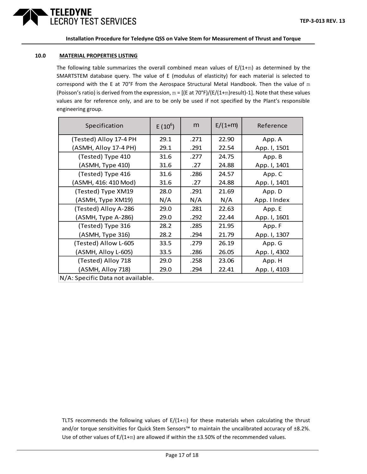

### **10.0 MATERIAL PROPERTIES LISTING**

The following table summarizes the overall combined mean values of  $E/(1+m)$  as determined by the SMARTSTEM database query. The value of E (modulus of elasticity) for each material is selected to correspond with the E at 70°F from the Aerospace Structural Metal Handbook. Then the value of m (Poisson's ratio) is derived from the expression,  $m = [(E at 70°F)/(E/(1+m)result)-1]$ . Note that these values values are for reference only, and are to be only be used if not specified by the Plant's responsible engineering group.

| Specification                     | $E(10^6)$ | m    | $E/(1+m)$ | Reference    |
|-----------------------------------|-----------|------|-----------|--------------|
| (Tested) Alloy 17-4 PH            | 29.1      | .271 | 22.90     | App. A       |
| (ASMH, Alloy 17-4 PH)             | 29.1      | .291 | 22.54     | App. I, 1501 |
| (Tested) Type 410                 | 31.6      | .277 | 24.75     | App. B       |
| (ASMH, Type 410)                  | 31.6      | .27  | 24.88     | App. I, 1401 |
| (Tested) Type 416                 | 31.6      | .286 | 24.57     | App. C       |
| (ASMH, 416: 410 Mod)              | 31.6      | .27  | 24.88     | App. I, 1401 |
| (Tested) Type XM19                | 28.0      | .291 | 21.69     | App. D       |
| (ASMH, Type XM19)                 | N/A       | N/A  | N/A       | App. I Index |
| (Tested) Alloy A-286              | 29.0      | .281 | 22.63     | App. E       |
| (ASMH, Type A-286)                | 29.0      | .292 | 22.44     | App. I, 1601 |
| (Tested) Type 316                 | 28.2      | .285 | 21.95     | App. F       |
| (ASMH, Type 316)                  | 28.2      | .294 | 21.79     | App. I, 1307 |
| (Tested) Allow L-605              | 33.5      | .279 | 26.19     | App. G       |
| (ASMH, Alloy L-605)               | 33.5      | .286 | 26.05     | App. I, 4302 |
| (Tested) Alloy 718                | 29.0      | .258 | 23.06     | App. H       |
| (ASMH, Alloy 718)                 | 29.0      | .294 | 22.41     | App. I, 4103 |
| N/A: Specific Data not available. |           |      |           |              |

TLTS recommends the following values of  $E/(1+m)$  for these materials when calculating the thrust and/or torque sensitivities for Quick Stem Sensors™ to maintain the uncalibrated accuracy of ±8.2%. Use of other values of E/(1+m) are allowed if within the ±3.50% of the recommended values.